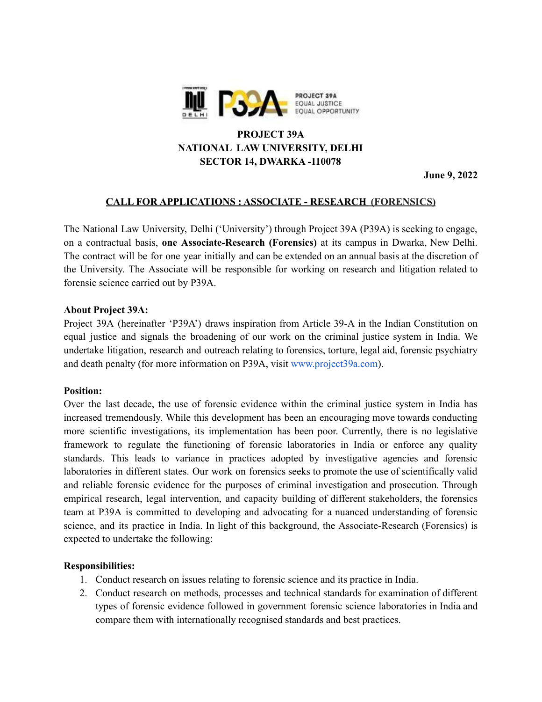

# **PROJECT 39A NATIONAL LAW UNIVERSITY, DELHI SECTOR 14, DWARKA -110078**

**June 9, 2022**

### **CALL FOR APPLICATIONS : ASSOCIATE - RESEARCH (FORENSICS)**

The National Law University, Delhi ('University') through Project 39A (P39A) is seeking to engage, on a contractual basis, **one Associate-Research (Forensics)** at its campus in Dwarka, New Delhi. The contract will be for one year initially and can be extended on an annual basis at the discretion of the University. The Associate will be responsible for working on research and litigation related to forensic science carried out by P39A.

#### **About Project 39A:**

Project 39A (hereinafter 'P39A') draws inspiration from Article 39-A in the Indian Constitution on equal justice and signals the broadening of our work on the criminal justice system in India. We undertake litigation, research and outreach relating to forensics, torture, legal aid, forensic psychiatry and death penalty (for more information on P39A, visit [www.project39a.com\)](http://www.project39a.com).

#### **Position:**

Over the last decade, the use of forensic evidence within the criminal justice system in India has increased tremendously. While this development has been an encouraging move towards conducting more scientific investigations, its implementation has been poor. Currently, there is no legislative framework to regulate the functioning of forensic laboratories in India or enforce any quality standards. This leads to variance in practices adopted by investigative agencies and forensic laboratories in different states. Our work on forensics seeks to promote the use of scientifically valid and reliable forensic evidence for the purposes of criminal investigation and prosecution. Through empirical research, legal intervention, and capacity building of different stakeholders, the forensics team at P39A is committed to developing and advocating for a nuanced understanding of forensic science, and its practice in India. In light of this background, the Associate-Research (Forensics) is expected to undertake the following:

### **Responsibilities:**

- 1. Conduct research on issues relating to forensic science and its practice in India.
- 2. Conduct research on methods, processes and technical standards for examination of different types of forensic evidence followed in government forensic science laboratories in India and compare them with internationally recognised standards and best practices.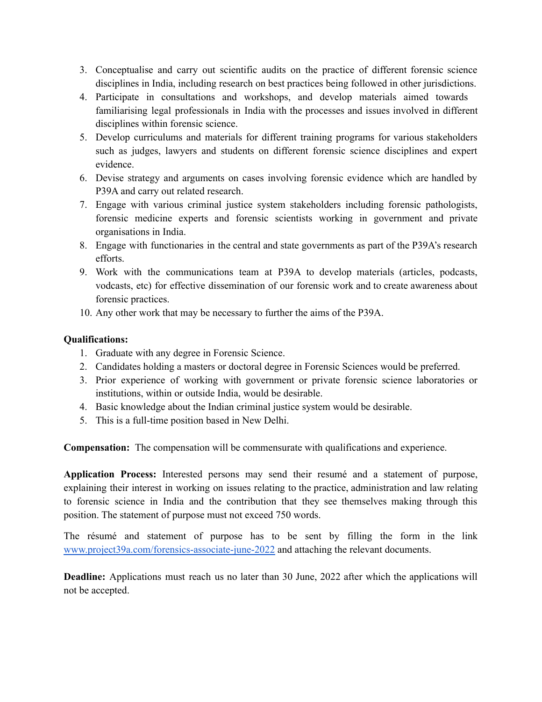- 3. Conceptualise and carry out scientific audits on the practice of different forensic science disciplines in India, including research on best practices being followed in other jurisdictions.
- 4. Participate in consultations and workshops, and develop materials aimed towards familiarising legal professionals in India with the processes and issues involved in different disciplines within forensic science.
- 5. Develop curriculums and materials for different training programs for various stakeholders such as judges, lawyers and students on different forensic science disciplines and expert evidence.
- 6. Devise strategy and arguments on cases involving forensic evidence which are handled by P39A and carry out related research.
- 7. Engage with various criminal justice system stakeholders including forensic pathologists, forensic medicine experts and forensic scientists working in government and private organisations in India.
- 8. Engage with functionaries in the central and state governments as part of the P39A's research efforts.
- 9. Work with the communications team at P39A to develop materials (articles, podcasts, vodcasts, etc) for effective dissemination of our forensic work and to create awareness about forensic practices.
- 10. Any other work that may be necessary to further the aims of the P39A.

## **Qualifications:**

- 1. Graduate with any degree in Forensic Science.
- 2. Candidates holding a masters or doctoral degree in Forensic Sciences would be preferred.
- 3. Prior experience of working with government or private forensic science laboratories or institutions, within or outside India, would be desirable.
- 4. Basic knowledge about the Indian criminal justice system would be desirable.
- 5. This is a full-time position based in New Delhi.

**Compensation:** The compensation will be commensurate with qualifications and experience.

**Application Process:** Interested persons may send their resumé and a statement of purpose, explaining their interest in working on issues relating to the practice, administration and law relating to forensic science in India and the contribution that they see themselves making through this position. The statement of purpose must not exceed 750 words.

The résumé and statement of purpose has to be sent by filling the form in the link [www.project39a.com/forensics-associate-june-2022](http://www.project39a.com/forensics-associate-june-2022) and attaching the relevant documents.

**Deadline:** Applications must reach us no later than 30 June, 2022 after which the applications will not be accepted.